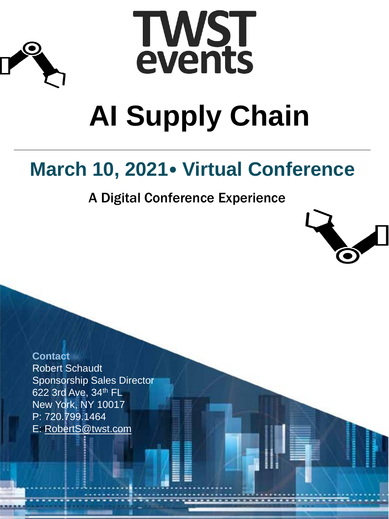



# **AI Supply Chain**

# **March 10, 2021**• **Virtual Conference**

A Digital Conference Experience



**Contact** Robert Schaudt Sponsorship Sales Director 622 3rd Ave, 34th FL New York, NY 10017 P: 720.799.1464 E: [RobertS@twst.com](mailto:RobertS@twst.com)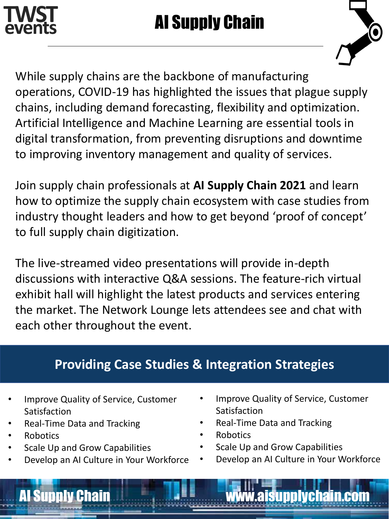



While supply chains are the backbone of manufacturing operations, COVID-19 has highlighted the issues that plague supply chains, including demand forecasting, flexibility and optimization. Artificial Intelligence and Machine Learning are essential tools in digital transformation, from preventing disruptions and downtime to improving inventory management and quality of services.

Join supply chain professionals at **AI Supply Chain 2021** and learn how to optimize the supply chain ecosystem with case studies from industry thought leaders and how to get beyond 'proof of concept' to full supply chain digitization.

The live-streamed video presentations will provide in-depth discussions with interactive Q&A sessions. The feature-rich virtual exhibit hall will highlight the latest products and services entering the market. The Network Lounge lets attendees see and chat with each other throughout the event.

## **Providing Case Studies & Integration Strategies**

AI Supply Chain www.aisupplychain.com

- Improve Quality of Service, Customer Satisfaction
- Real-Time Data and Tracking
- Robotics
- Scale Up and Grow Capabilities
- Develop an AI Culture in Your Workforce
- Improve Quality of Service, Customer Satisfaction
- Real-Time Data and Tracking
- Robotics
- Scale Up and Grow Capabilities
- Develop an AI Culture in Your Workforce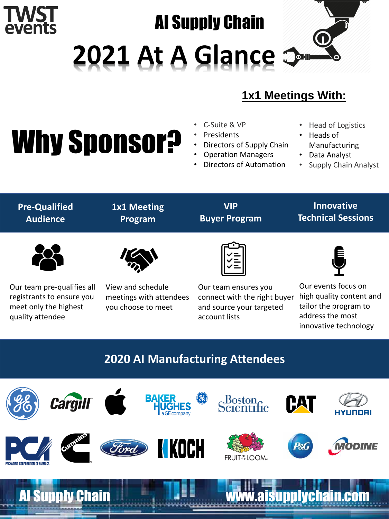# AI Supply Chain

2021 At A Glance 3

## **1x1 Meetings With:**

# Why Sponsor?

events

**ACKAGING O** 

- C-Suite & VP
- **Presidents**
- Directors of Supply Chain
- Operation Managers
- Directors of Automation
- Head of Logistics
- Heads of Manufacturing
- Data Analyst
- Supply Chain Analyst

| <b>Pre-Qualified</b><br><b>Audience</b>                                                              | <b>1x1 Meeting</b><br>Program                                      | <b>VIP</b><br><b>Buyer Program</b>                                                                | <b>Innovative</b><br><b>Technical Sessions</b>                                                                        |
|------------------------------------------------------------------------------------------------------|--------------------------------------------------------------------|---------------------------------------------------------------------------------------------------|-----------------------------------------------------------------------------------------------------------------------|
|                                                                                                      |                                                                    |                                                                                                   |                                                                                                                       |
| Our team pre-qualifies all<br>registrants to ensure you<br>meet only the highest<br>quality attendee | View and schedule<br>meetings with attendees<br>you choose to meet | Our team ensures you<br>connect with the right buyer<br>and source your targeted<br>account lists | Our events focus on<br>high quality content and<br>tailor the program to<br>address the most<br>innovative technology |
| <b>2020 AI Manufacturing Attendees</b>                                                               |                                                                    |                                                                                                   |                                                                                                                       |
| <b>Cargill</b>                                                                                       | <b>BAKER</b>                                                       | (96)<br>Scientific                                                                                | HAT<br>HYUNDAI                                                                                                        |
|                                                                                                      | KOCH<br>Ford                                                       | <b>FRUIT ELOOM</b>                                                                                | P&G<br><b>VIODINE</b>                                                                                                 |
| ly Chain<br><b>Al Su</b>                                                                             |                                                                    | W.a                                                                                               | piychain.con                                                                                                          |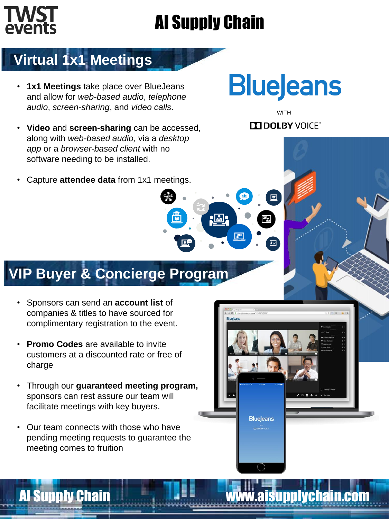# AI Supply Chain

 $2$   $\overline{m}$   $2$ 

# **Virtual 1x1 Meetings**

- **1x1 Meetings** take place over BlueJeans and allow for *web-based audio*, *telephone audio*, *screen-sharing*, and *video calls*.
- **Video** and **screen-sharing** can be accessed, along with *web-based audio,* via a *desktop app* or a *browser-based client* with no software needing to be installed.
- Capture **attendee data** from 1x1 meetings.

# **VIP Buyer & Concierge Program**

- Sponsors can send an **account list** of companies & titles to have sourced for complimentary registration to the event*.*
- **Promo Codes** are available to invite customers at a discounted rate or free of charge
- Through our **guaranteed meeting program,** sponsors can rest assure our team will facilitate meetings with key buyers.
- Our team connects with those who have pending meeting requests to guarantee the meeting comes to fruition

# **BlueJeans**

**WITH DE DOLBY VOICE** 

圓

AI Supply Chain Wall **All Supply Chain** Wall **All Supply Chain.com** 

**BlueJeans**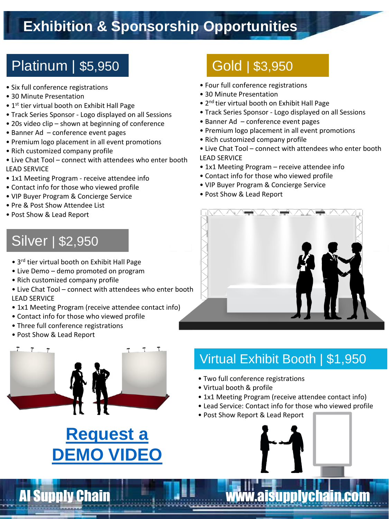# **Exhibition & Sponsorship Opportunities**

# Platinum | \$5,950 Gold | \$3,950

- Six full conference registrations
- 30 Minute Presentation
- 1<sup>st</sup> tier virtual booth on Exhibit Hall Page
- Track Series Sponsor Logo displayed on all Sessions
- 20s video clip shown at beginning of conference
- Banner Ad conference event pages
- Premium logo placement in all event promotions
- Rich customized company profile
- Live Chat Tool connect with attendees who enter booth LEAD SERVICE
- 1x1 Meeting Program receive attendee info
- Contact info for those who viewed profile
- VIP Buyer Program & Concierge Service
- Pre & Post Show Attendee List
- Post Show & Lead Report

# Silver | \$2,950

- 3rd tier virtual booth on Exhibit Hall Page
- Live Demo demo promoted on program
- Rich customized company profile
- Live Chat Tool connect with attendees who enter booth LEAD SERVICE
- 1x1 Meeting Program (receive attendee contact info)
- Contact info for those who viewed profile
- Three full conference registrations
- Post Show & Lead Report



# **Request a [DEMO VIDEO](mailto:RobertS@twst.com?subject=Motor%20&%20Magnetics%20Virtual%20Event%20Demo)**

- Four full conference registrations
- 30 Minute Presentation
- 2nd tier virtual booth on Exhibit Hall Page
- Track Series Sponsor Logo displayed on all Sessions
- Banner Ad conference event pages
- Premium logo placement in all event promotions
- Rich customized company profile
- Live Chat Tool connect with attendees who enter booth LEAD SERVICE
- 1x1 Meeting Program receive attendee info
- Contact info for those who viewed profile
- VIP Buyer Program & Concierge Service
- Post Show & Lead Report



## Virtual Exhibit Booth | \$1,950

- Two full conference registrations
- Virtual booth & profile
- 1x1 Meeting Program (receive attendee contact info)
- Lead Service: Contact info for those who viewed profile
- Post Show Report & Lead Report



**AI Supply Chain WAI AND WWW.aisupplychain.com**